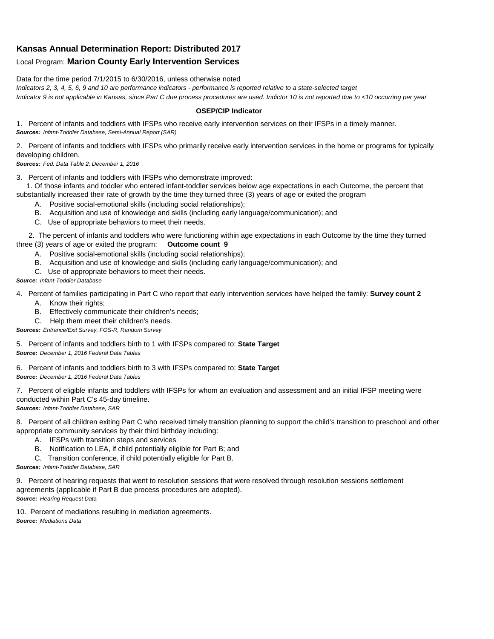## **Kansas Annual Determination Report: Distributed 2017**

## Local Program: **Marion County Early Intervention Services**

Data for the time period 7/1/2015 to 6/30/2016, unless otherwise noted

*Indicators 2, 3, 4, 5, 6, 9 and 10 are performance indicators - performance is reported relative to a state-selected target Indicator 9 is not applicable in Kansas, since Part C due process procedures are used. Indictor 10 is not reported due to <10 occurring per year*

## **OSEP/CIP Indicator**

1. Percent of infants and toddlers with IFSPs who receive early intervention services on their IFSPs in a timely manner. *Sources: Infant-Toddler Database, Semi-Annual Report (SAR)* 

2. Percent of infants and toddlers with IFSPs who primarily receive early intervention services in the home or programs for typically developing children.

*Sources: Fed. Data Table 2; December 1, 2016*

3. Percent of infants and toddlers with IFSPs who demonstrate improved:

 1. Of those infants and toddler who entered infant-toddler services below age expectations in each Outcome, the percent that substantially increased their rate of growth by the time they turned three (3) years of age or exited the program

- A. Positive social-emotional skills (including social relationships);
- B. Acquisition and use of knowledge and skills (including early language/communication); and
- C. Use of appropriate behaviors to meet their needs.

 2. The percent of infants and toddlers who were functioning within age expectations in each Outcome by the time they turned three (3) years of age or exited the program: **Outcome count 9**

- A. Positive social-emotional skills (including social relationships);
- B. Acquisition and use of knowledge and skills (including early language/communication); and
- C. Use of appropriate behaviors to meet their needs.

## *Source: Infant-Toddler Database*

4. Percent of families participating in Part C who report that early intervention services have helped the family: **Survey count 2**

- A. Know their rights;
- B. Effectively communicate their children's needs;
- C. Help them meet their children's needs.
- *Sources: Entrance/Exit Survey, FOS-R, Random Survey*

5. Percent of infants and toddlers birth to 1 with IFSPs compared to: **State Target** *Source: December 1, 2016 Federal Data Tables*

6. Percent of infants and toddlers birth to 3 with IFSPs compared to: **State Target** *Source: December 1, 2016 Federal Data Tables*

7. Percent of eligible infants and toddlers with IFSPs for whom an evaluation and assessment and an initial IFSP meeting were conducted within Part C's 45-day timeline.

*Sources: Infant-Toddler Database, SAR*

8. Percent of all children exiting Part C who received timely transition planning to support the child's transition to preschool and other appropriate community services by their third birthday including:

- A. IFSPs with transition steps and services
- B. Notification to LEA, if child potentially eligible for Part B; and
- C. Transition conference, if child potentially eligible for Part B.

*Sources: Infant-Toddler Database, SAR*

9. Percent of hearing requests that went to resolution sessions that were resolved through resolution sessions settlement agreements (applicable if Part B due process procedures are adopted). *Source: Hearing Request Data*

10. Percent of mediations resulting in mediation agreements. *Source: Mediations Data*